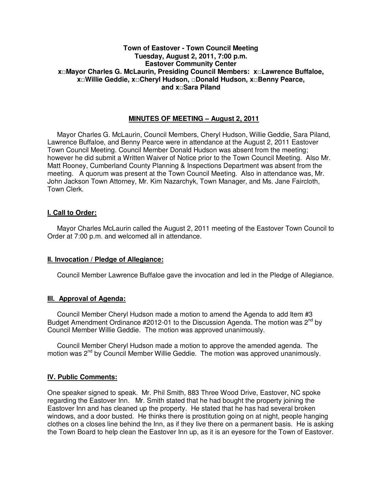# **Town of Eastover - Town Council Meeting Tuesday, August 2, 2011, 7:00 p.m. Eastover Community Center x□Mayor Charles G. McLaurin, Presiding Council Members: x□Lawrence Buffaloe, x□Willie Geddie, x□Cheryl Hudson, □Donald Hudson, x□Benny Pearce, and x□Sara Piland**

# **MINUTES OF MEETING – August 2, 2011**

Mayor Charles G. McLaurin, Council Members, Cheryl Hudson, Willie Geddie, Sara Piland, Lawrence Buffaloe, and Benny Pearce were in attendance at the August 2, 2011 Eastover Town Council Meeting. Council Member Donald Hudson was absent from the meeting; however he did submit a Written Waiver of Notice prior to the Town Council Meeting. Also Mr. Matt Rooney, Cumberland County Planning & Inspections Department was absent from the meeting. A quorum was present at the Town Council Meeting. Also in attendance was, Mr. John Jackson Town Attorney, Mr. Kim Nazarchyk, Town Manager, and Ms. Jane Faircloth, Town Clerk.

# **I. Call to Order:**

Mayor Charles McLaurin called the August 2, 2011 meeting of the Eastover Town Council to Order at 7:00 p.m. and welcomed all in attendance.

## **II. Invocation / Pledge of Allegiance:**

Council Member Lawrence Buffaloe gave the invocation and led in the Pledge of Allegiance.

## **III. Approval of Agenda:**

 Council Member Cheryl Hudson made a motion to amend the Agenda to add Item #3 Budget Amendment Ordinance #2012-01 to the Discussion Agenda. The motion was  $2^{nd}$  by Council Member Willie Geddie. The motion was approved unanimously.

 Council Member Cheryl Hudson made a motion to approve the amended agenda. The motion was 2<sup>nd</sup> by Council Member Willie Geddie. The motion was approved unanimously.

## **IV. Public Comments:**

One speaker signed to speak. Mr. Phil Smith, 883 Three Wood Drive, Eastover, NC spoke regarding the Eastover Inn. Mr. Smith stated that he had bought the property joining the Eastover Inn and has cleaned up the property. He stated that he has had several broken windows, and a door busted. He thinks there is prostitution going on at night, people hanging clothes on a closes line behind the Inn, as if they live there on a permanent basis. He is asking the Town Board to help clean the Eastover Inn up, as it is an eyesore for the Town of Eastover.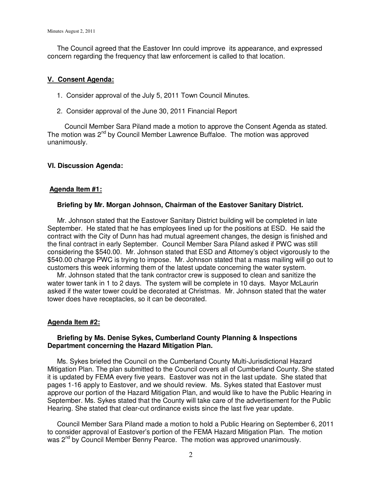The Council agreed that the Eastover Inn could improve its appearance, and expressed concern regarding the frequency that law enforcement is called to that location.

### **V. Consent Agenda:**

- 1. Consider approval of the July 5, 2011 Town Council Minutes.
- 2. Consider approval of the June 30, 2011 Financial Report

Council Member Sara Piland made a motion to approve the Consent Agenda as stated. The motion was  $2^{nd}$  by Council Member Lawrence Buffaloe. The motion was approved unanimously.

### **VI. Discussion Agenda:**

### **Agenda Item #1:**

### **Briefing by Mr. Morgan Johnson, Chairman of the Eastover Sanitary District.**

Mr. Johnson stated that the Eastover Sanitary District building will be completed in late September. He stated that he has employees lined up for the positions at ESD. He said the contract with the City of Dunn has had mutual agreement changes, the design is finished and the final contract in early September. Council Member Sara Piland asked if PWC was still considering the \$540.00. Mr. Johnson stated that ESD and Attorney's object vigorously to the \$540.00 charge PWC is trying to impose. Mr. Johnson stated that a mass mailing will go out to customers this week informing them of the latest update concerning the water system.

 Mr. Johnson stated that the tank contractor crew is supposed to clean and sanitize the water tower tank in 1 to 2 days. The system will be complete in 10 days. Mayor McLaurin asked if the water tower could be decorated at Christmas. Mr. Johnson stated that the water tower does have receptacles, so it can be decorated.

#### **Agenda Item #2:**

## **Briefing by Ms. Denise Sykes, Cumberland County Planning & Inspections Department concerning the Hazard Mitigation Plan.**

Ms. Sykes briefed the Council on the Cumberland County Multi-Jurisdictional Hazard Mitigation Plan. The plan submitted to the Council covers all of Cumberland County. She stated it is updated by FEMA every five years. Eastover was not in the last update. She stated that pages 1-16 apply to Eastover, and we should review. Ms. Sykes stated that Eastover must approve our portion of the Hazard Mitigation Plan, and would like to have the Public Hearing in September. Ms. Sykes stated that the County will take care of the advertisement for the Public Hearing. She stated that clear-cut ordinance exists since the last five year update.

 Council Member Sara Piland made a motion to hold a Public Hearing on September 6, 2011 to consider approval of Eastover's portion of the FEMA Hazard Mitigation Plan. The motion was 2<sup>nd</sup> by Council Member Benny Pearce. The motion was approved unanimously.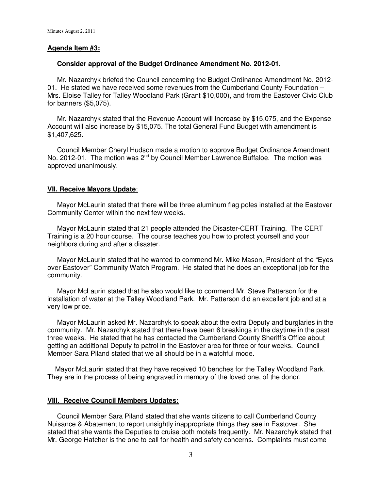# **Agenda Item #3:**

### **Consider approval of the Budget Ordinance Amendment No. 2012-01.**

 Mr. Nazarchyk briefed the Council concerning the Budget Ordinance Amendment No. 2012- 01. He stated we have received some revenues from the Cumberland County Foundation – Mrs. Eloise Talley for Talley Woodland Park (Grant \$10,000), and from the Eastover Civic Club for banners (\$5,075).

 Mr. Nazarchyk stated that the Revenue Account will Increase by \$15,075, and the Expense Account will also increase by \$15,075. The total General Fund Budget with amendment is \$1,407,625.

 Council Member Cheryl Hudson made a motion to approve Budget Ordinance Amendment No. 2012-01. The motion was 2<sup>nd</sup> by Council Member Lawrence Buffaloe. The motion was approved unanimously.

## **VII. Receive Mayors Update**:

 Mayor McLaurin stated that there will be three aluminum flag poles installed at the Eastover Community Center within the next few weeks.

 Mayor McLaurin stated that 21 people attended the Disaster-CERT Training. The CERT Training is a 20 hour course. The course teaches you how to protect yourself and your neighbors during and after a disaster.

 Mayor McLaurin stated that he wanted to commend Mr. Mike Mason, President of the "Eyes over Eastover" Community Watch Program. He stated that he does an exceptional job for the community.

 Mayor McLaurin stated that he also would like to commend Mr. Steve Patterson for the installation of water at the Talley Woodland Park. Mr. Patterson did an excellent job and at a very low price.

 Mayor McLaurin asked Mr. Nazarchyk to speak about the extra Deputy and burglaries in the community. Mr. Nazarchyk stated that there have been 6 breakings in the daytime in the past three weeks. He stated that he has contacted the Cumberland County Sheriff's Office about getting an additional Deputy to patrol in the Eastover area for three or four weeks. Council Member Sara Piland stated that we all should be in a watchful mode.

 Mayor McLaurin stated that they have received 10 benches for the Talley Woodland Park. They are in the process of being engraved in memory of the loved one, of the donor.

## **VIII. Receive Council Members Updates:**

 Council Member Sara Piland stated that she wants citizens to call Cumberland County Nuisance & Abatement to report unsightly inappropriate things they see in Eastover. She stated that she wants the Deputies to cruise both motels frequently. Mr. Nazarchyk stated that Mr. George Hatcher is the one to call for health and safety concerns. Complaints must come